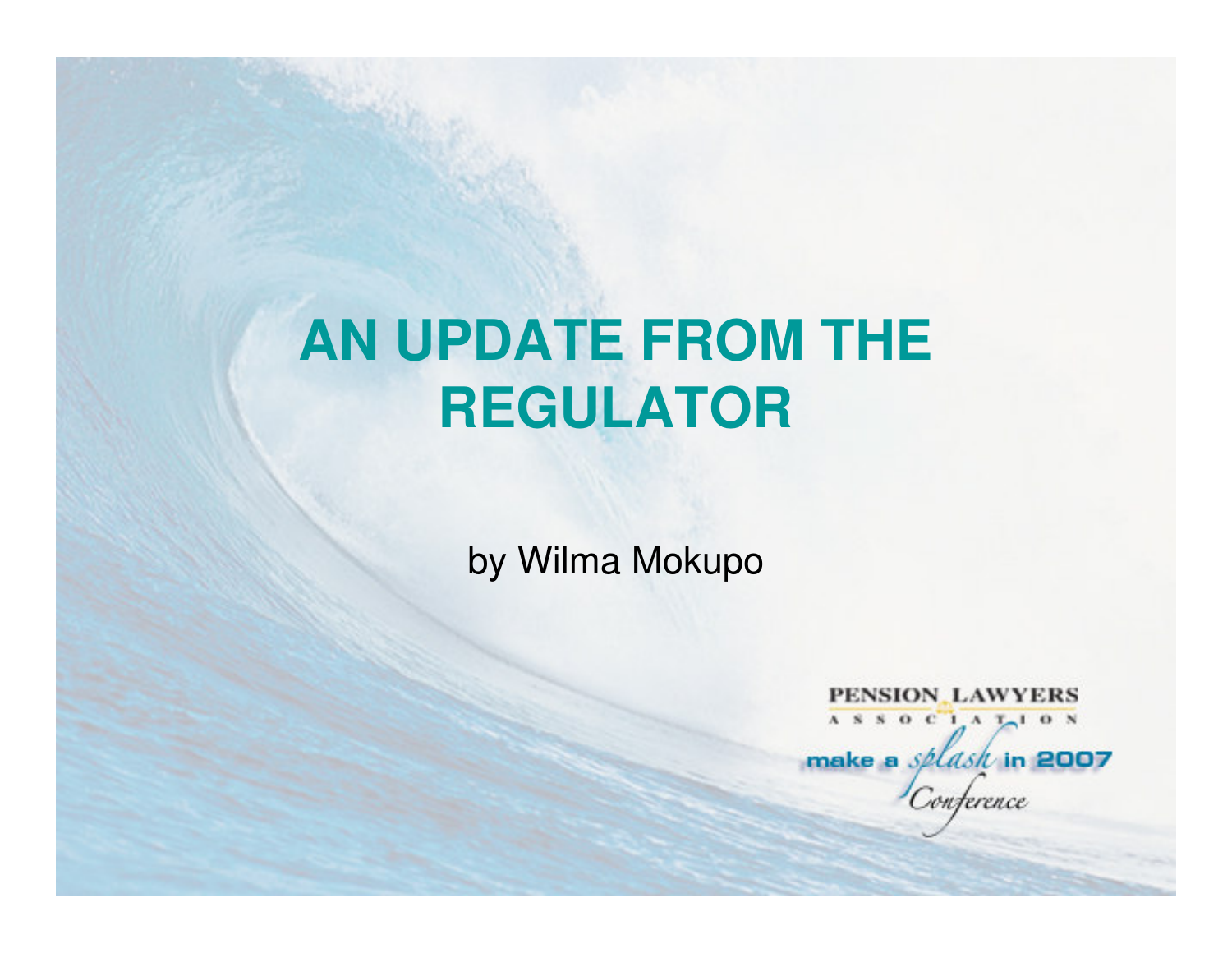## **AN UPDATE FROM THE REGULATOR**

by Wilma Mokupo

PENSION LAWYERS ASSOCIATION make a *splask* in 2007 onterence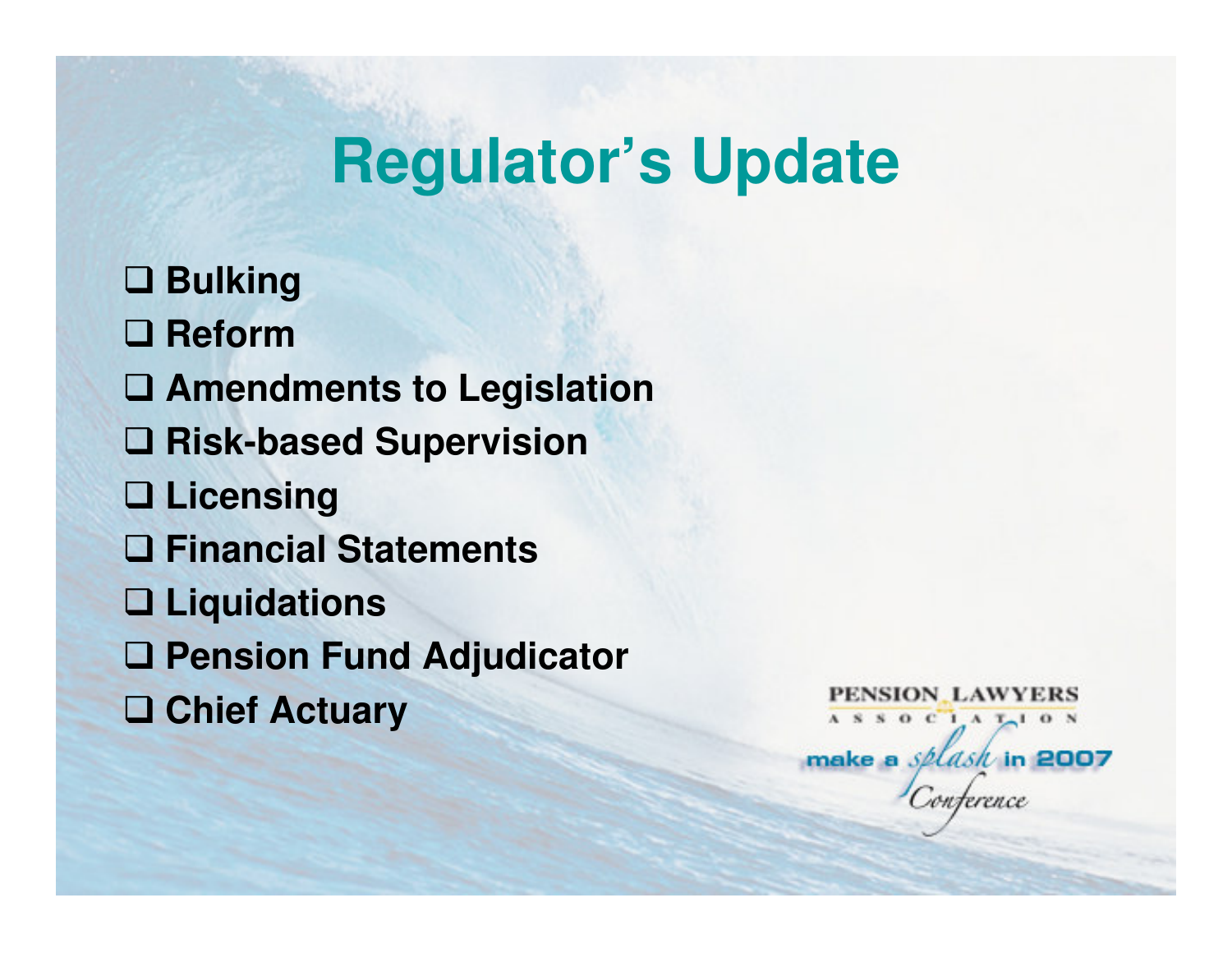**Bulking □ Reform Amendments to Legislation Risk-based Supervision Licensing Financial Statements Liquidations Pension Fund Adjudicator Chief Actuary**

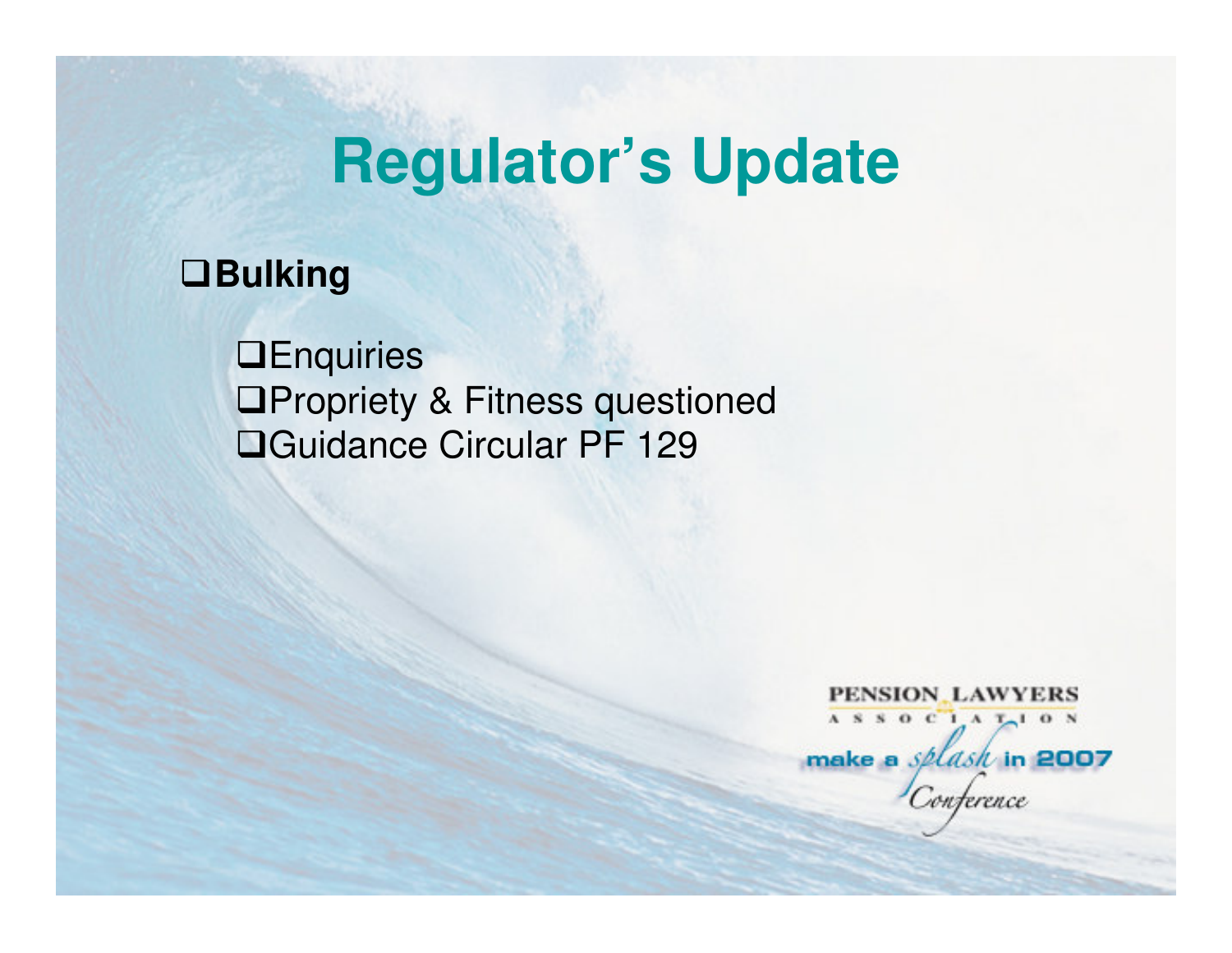#### **Bulking**

**OEnquiries □Propriety & Fitness questioned** Guidance Circular PF 129

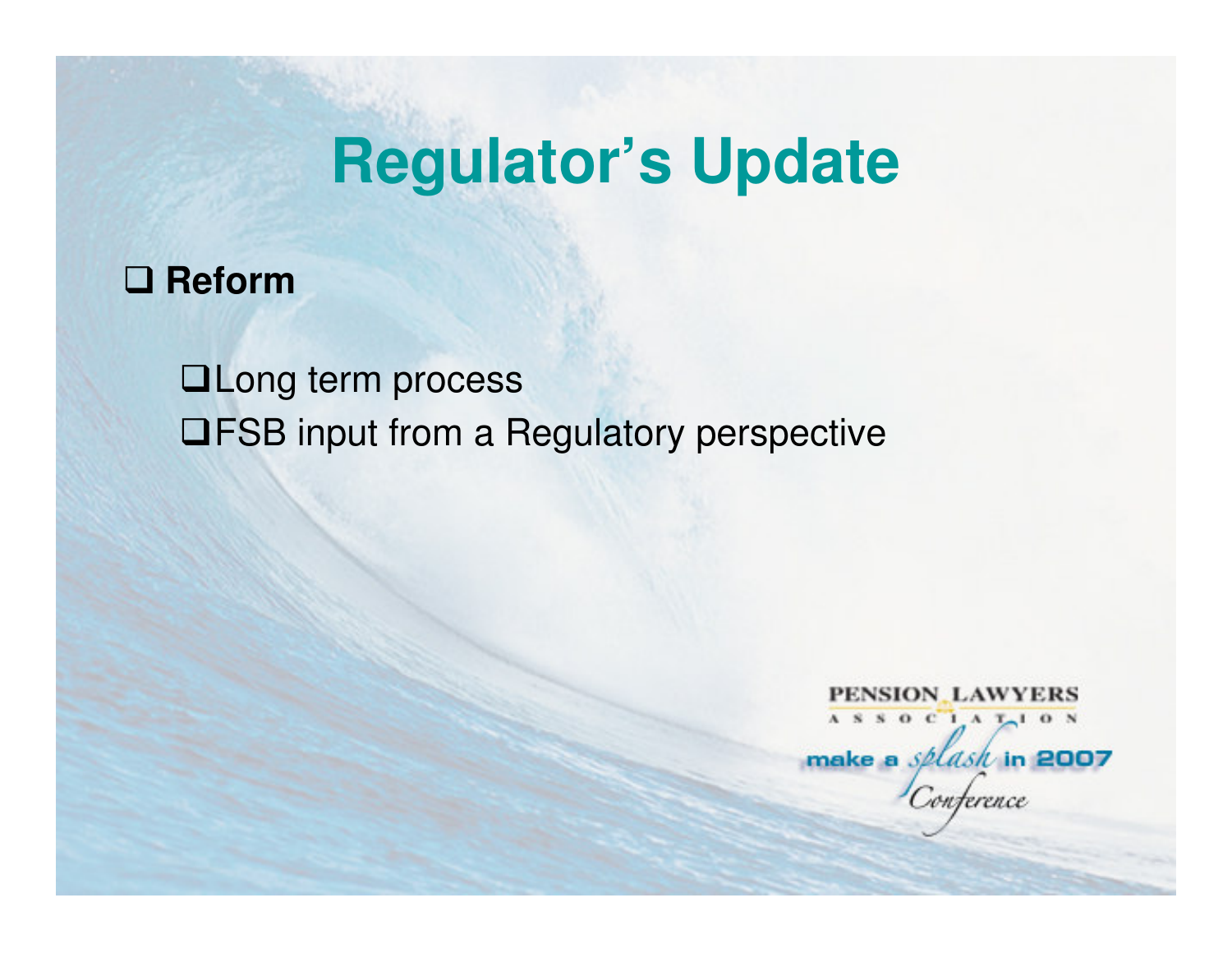## **Reform**

**QLong term process** FSB input from a Regulatory perspective

PENSION LAWYERS ASSOCIATION make a  $splash$  in 2007 nterence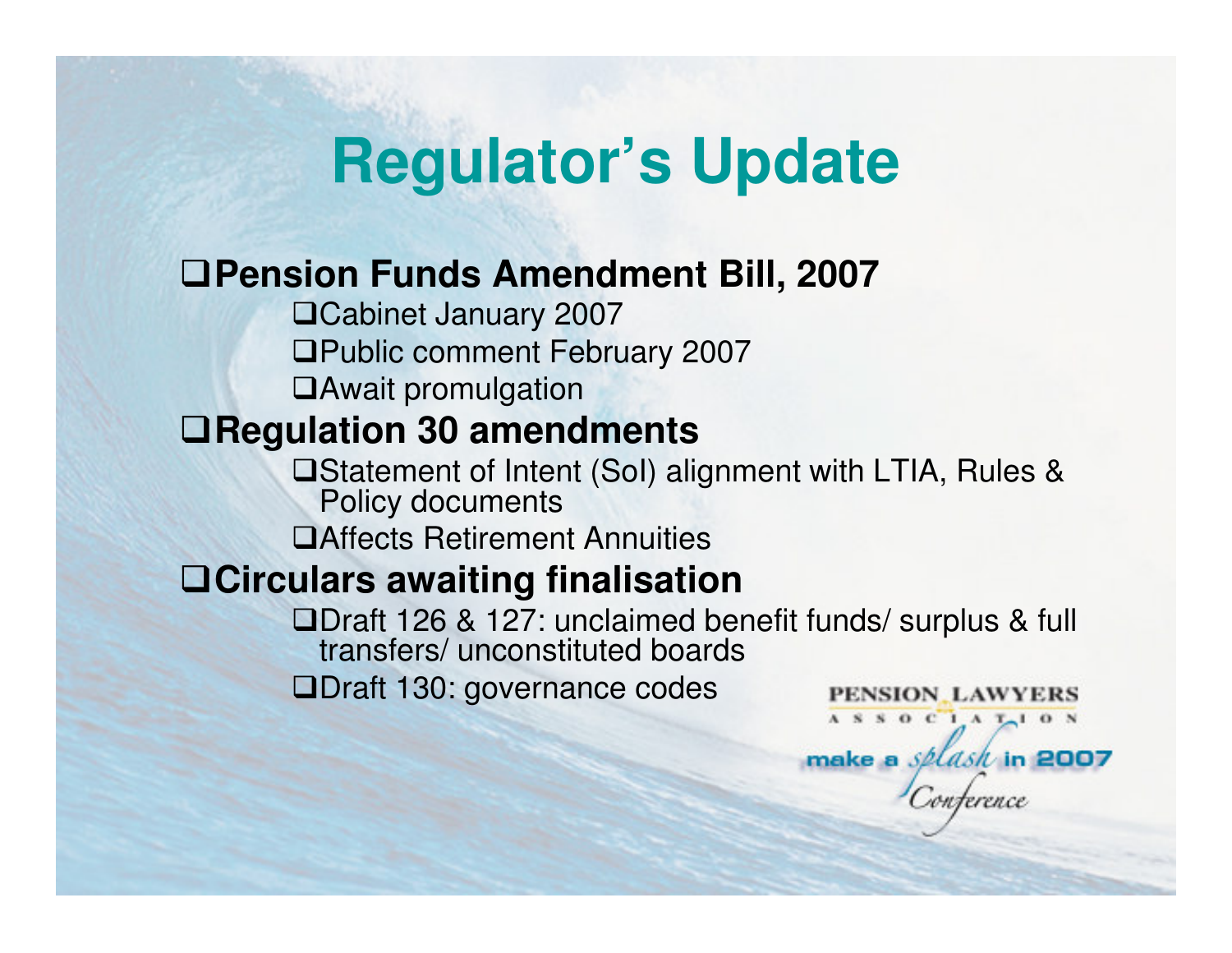#### **Pension Funds Amendment Bill, 2007**

Cabinet January 2007 Public comment February 2007Await promulgation

#### **Regulation 30 amendments**

- Statement of Intent (SoI) alignment with LTIA, Rules & Policy documents
- Affects Retirement Annuities

### **Circulars awaiting finalisation**

- Draft 126 & 127: unclaimed benefit funds/ surplus & full transfers/ unconstituted boards
- ■Draft 130: governance codes

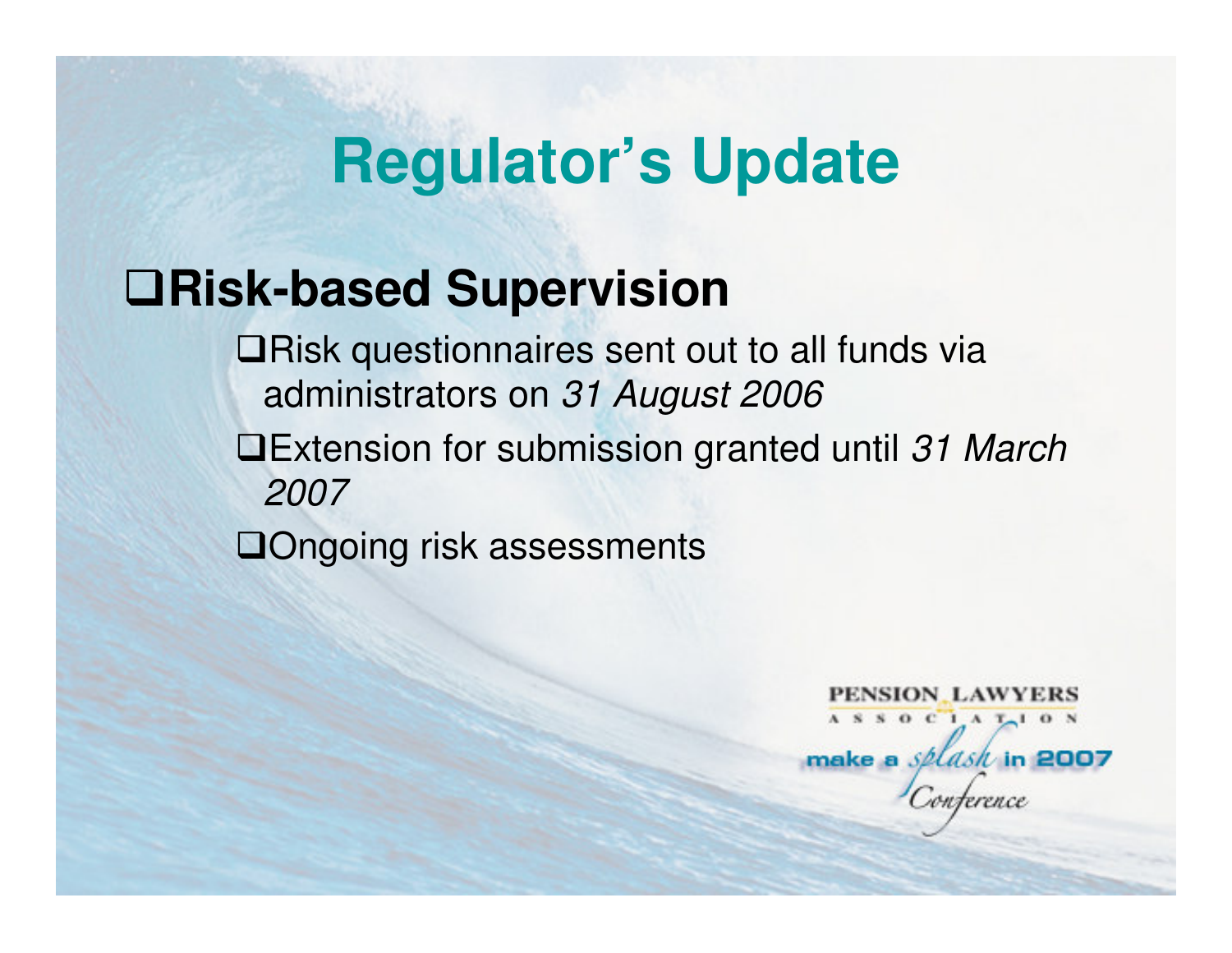### **Risk-based Supervision**

**QRisk questionnaires sent out to all funds via** administrators on 31 August 2006

**Extension for submission granted until 31 March** 2007

**QOngoing risk assessments** 

PENSION LAWYERS ASSOCIATION make a *splash* in 2007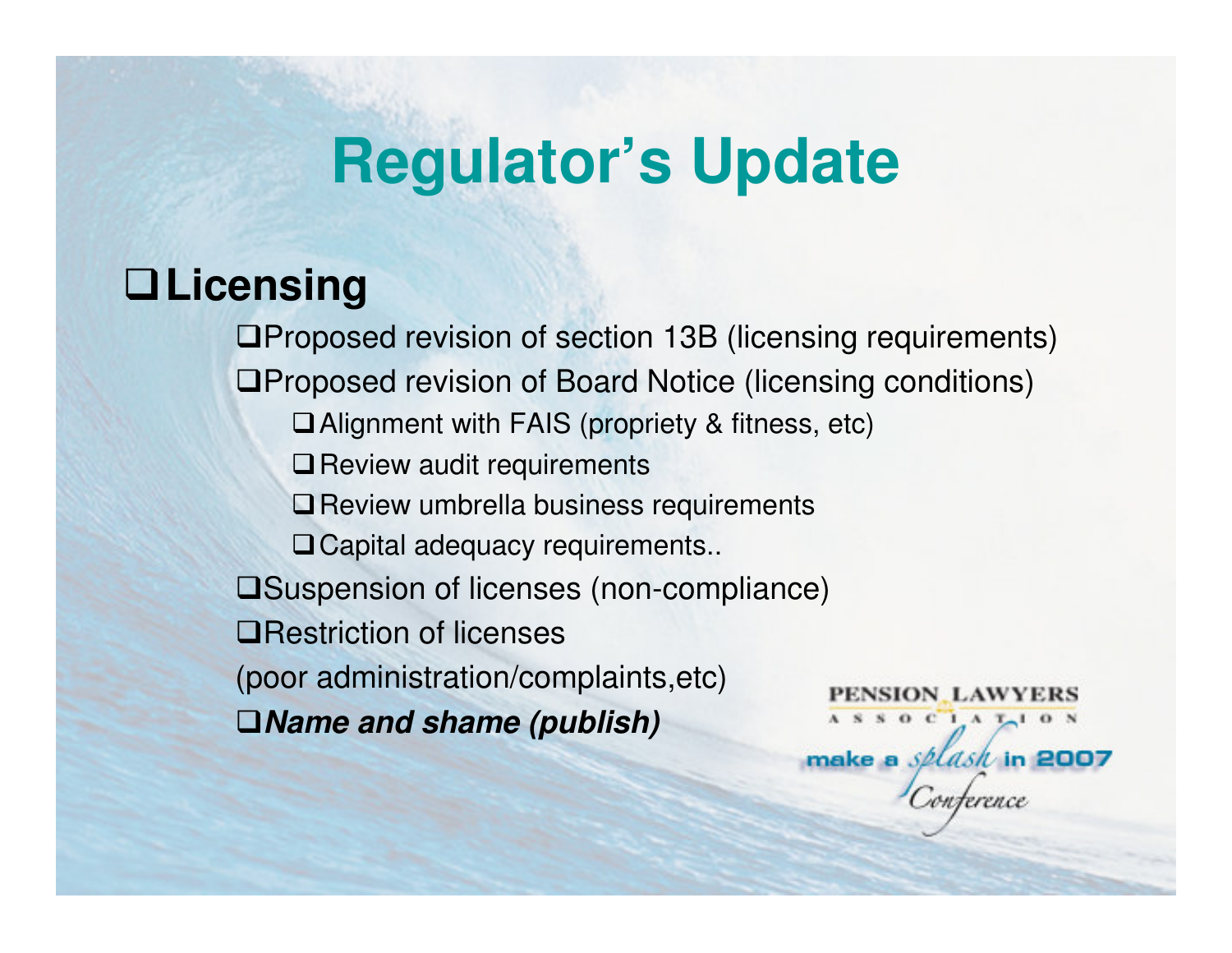### **Licensing**

 $\blacksquare$ Proposed revision of section 13B (licensing requirements) Proposed revision of Board Notice (licensing conditions)Alignment with FAIS (propriety & fitness, etc) $\Box$  Review audit requirements **□ Review umbrella business requirements** □ Capital adequacy requirements.. Suspension of licenses (non-compliance)**QRestriction of licenses** (poor administration/complaints,etc)PENSION LAWYERS **Name and shame (publish)**ASSOCIATION

make a *splask* in 2007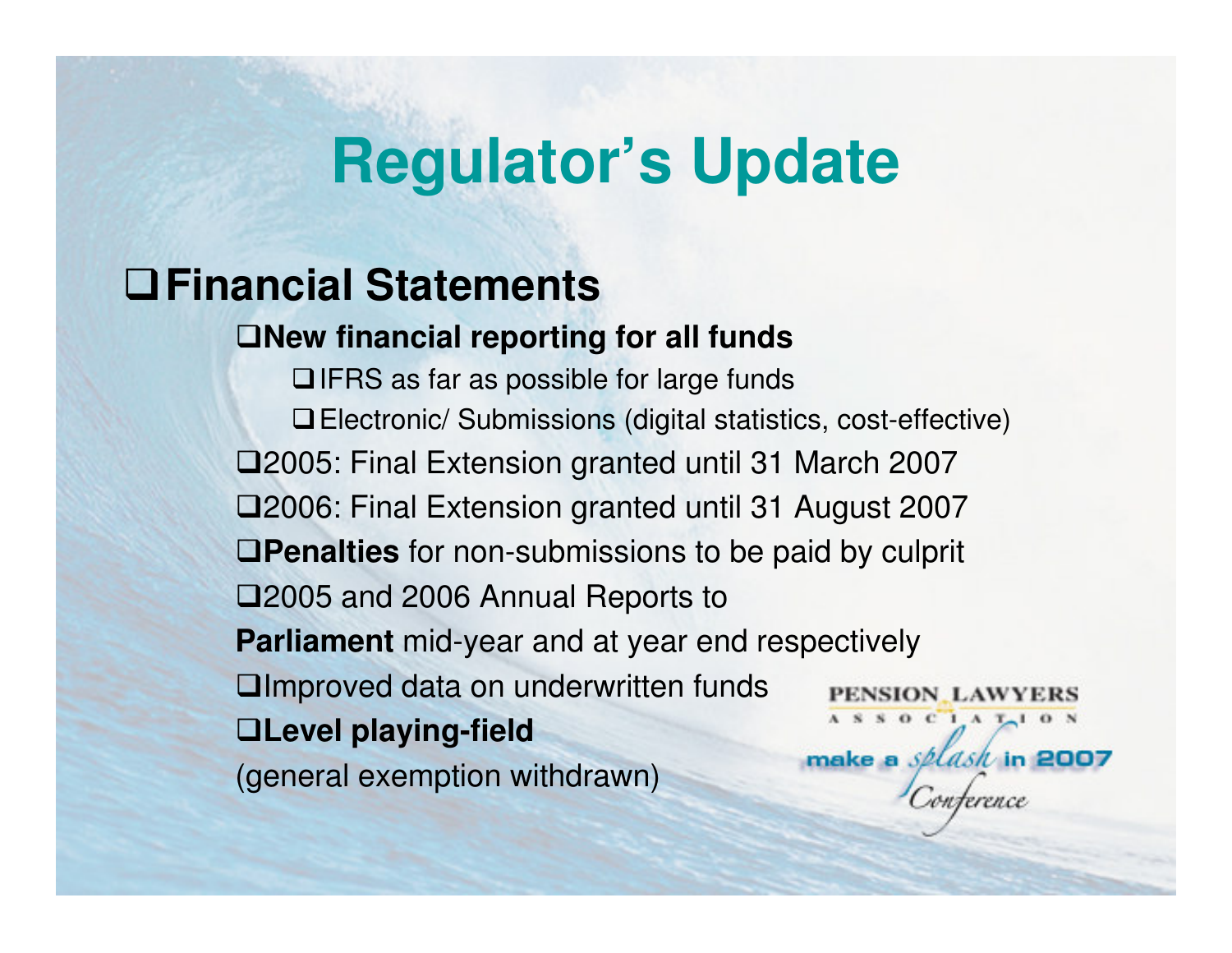### **Financial Statements**

**New financial reporting for all funds**

**QIFRS** as far as possible for large funds Electronic/ Submissions (digital statistics, cost-effective)2005: Final Extension granted until 31 March 20072006: Final Extension granted until 31 August 2007**Penalties** for non-submissions to be paid by culprit 2005 and 2006 Annual Reports to **Parliament** mid-year and at year end respectivelyImproved data on underwritten funds**PENSION\_LAWYERS**  $A S S 0 C 1 A T<sub>1</sub> 0 N$ **Level playing-field**make a splash in 2007 (general exemption withdrawn)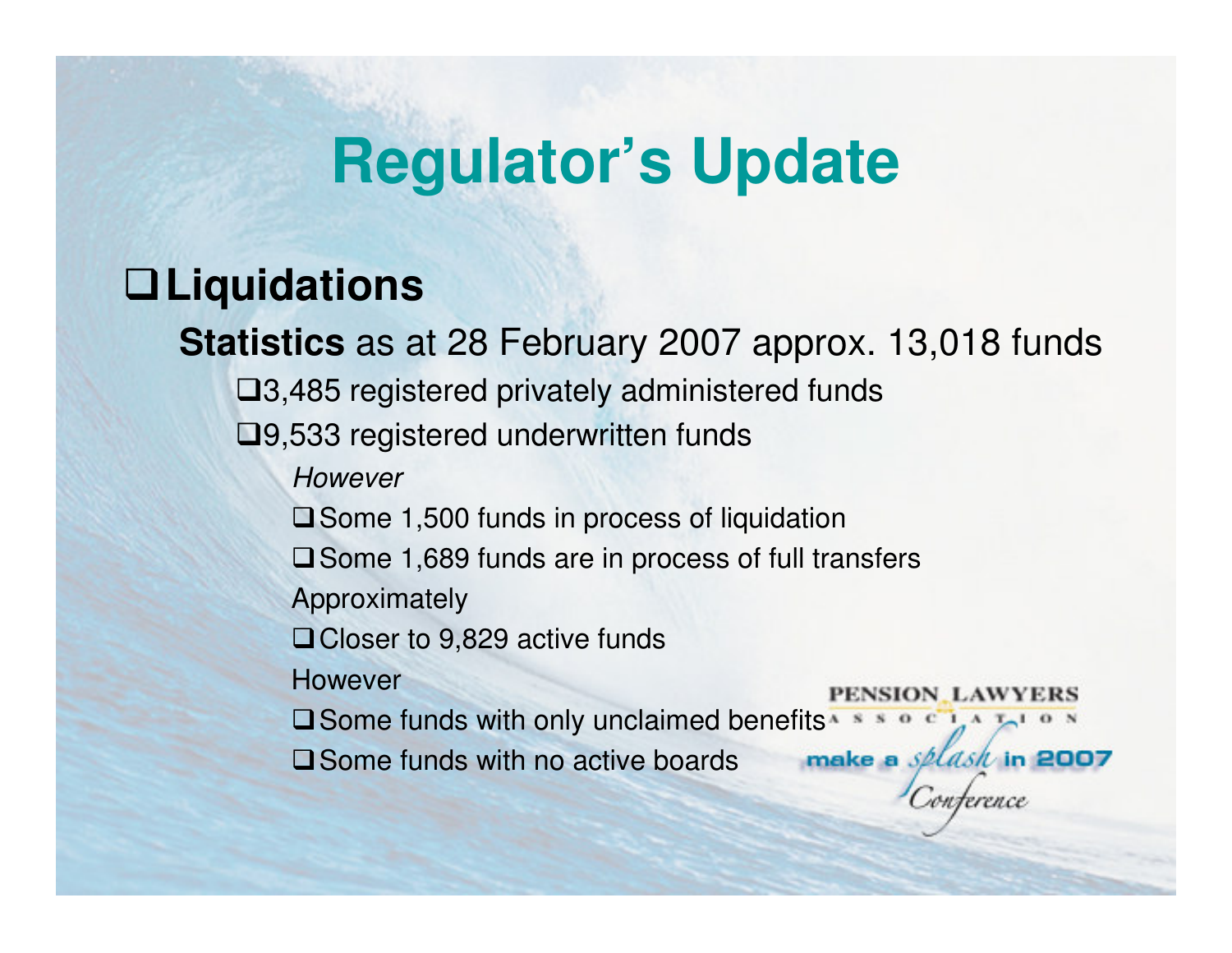### **Liquidations**

**Statistics** as at 28 February 2007 approx. 13,018 funds

3,485 registered privately administered funds

□9,533 registered underwritten funds

However

**■** Some 1,500 funds in process of liquidation

 $\square$  Some 1,689 funds are in process of full transfers

Approximately

**□ Closer to 9,829 active funds** 

However

PENSION LAWYERS

**Q** Some funds with only unclaimed benefits  $A + B$  or  $B$   $A + B$  or  $B$ 

**□ Some funds with no active boards** 

make a splash in 2007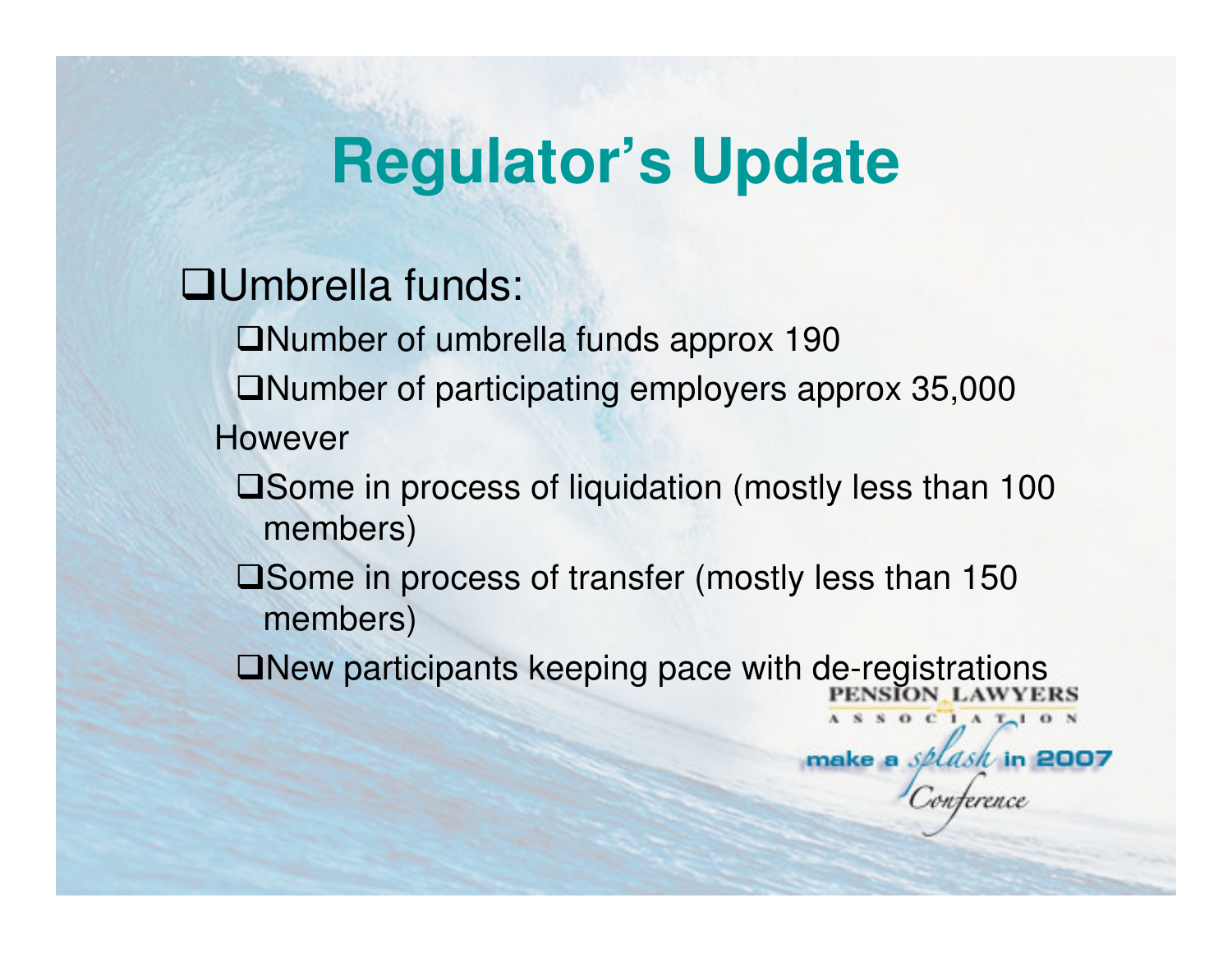### Umbrella funds:

Number of umbrella funds approx 190

 $\Box$ Number of participating employers approx 35,000 However

□ Some in process of liquidation (mostly less than 100 members)

 $\square$  Some in process of transfer (mostly less than 150 members)

 $\Box$ New participants keeping pace with de-registrations

 $S$  O C  $I$  A  $T-1$  O N

make a selash in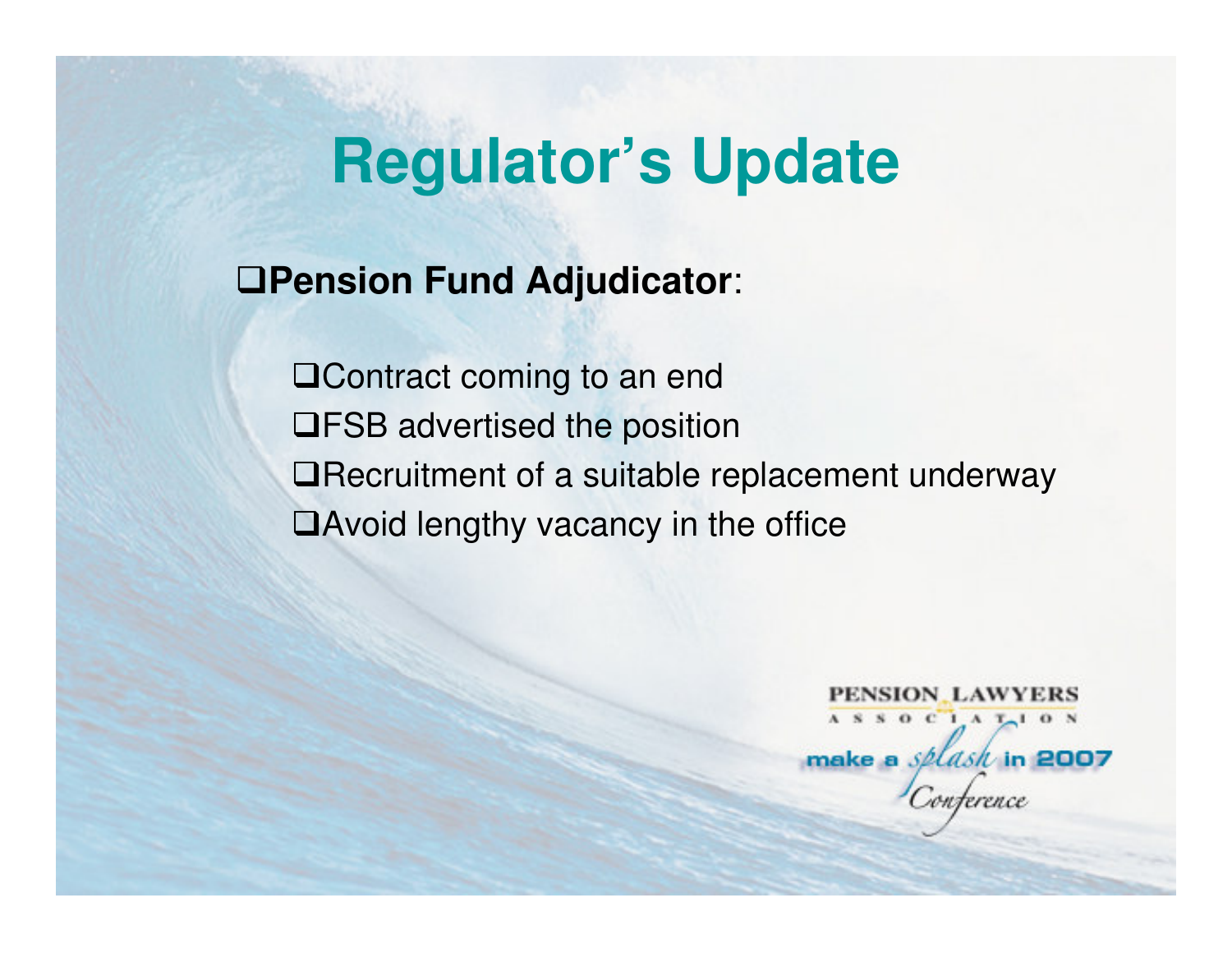**Pension Fund Adjudicator**:

□ Contract coming to an end FSB advertised the position■Recruitment of a suitable replacement underway ■Avoid lengthy vacancy in the office

> PENSION LAWYERS ASSOCIATION make a *splash* in 2007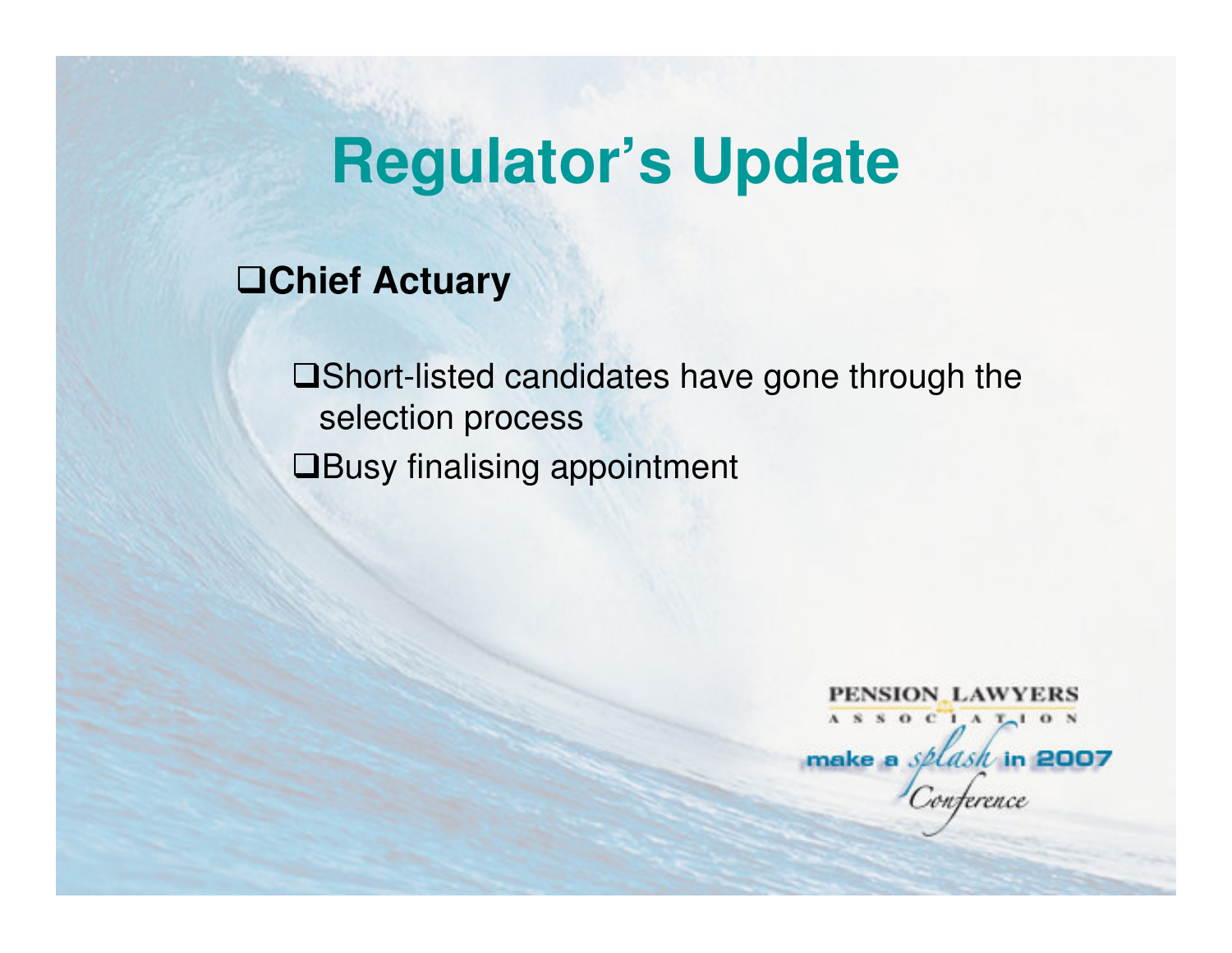**Chief Actuary**

■Short-listed candidates have gone through the selection process**QBusy finalising appointment** 

> **PENSION LAWYERS** ASSOCIATION make a *splask* in 2007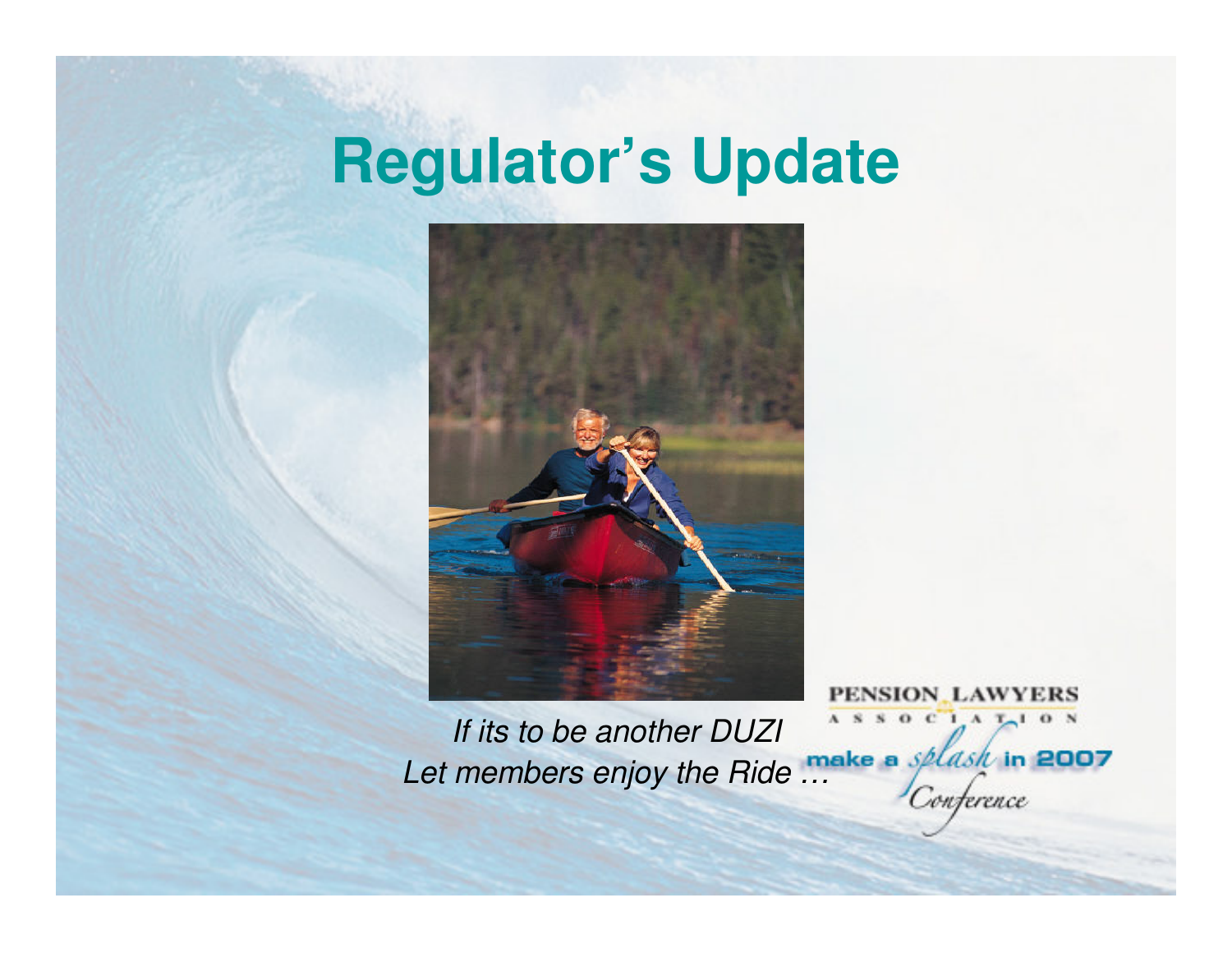

ASSOCIATION If its to be another DUZILet members enjoy the Ride ... onterence

PENSION LAWYERS